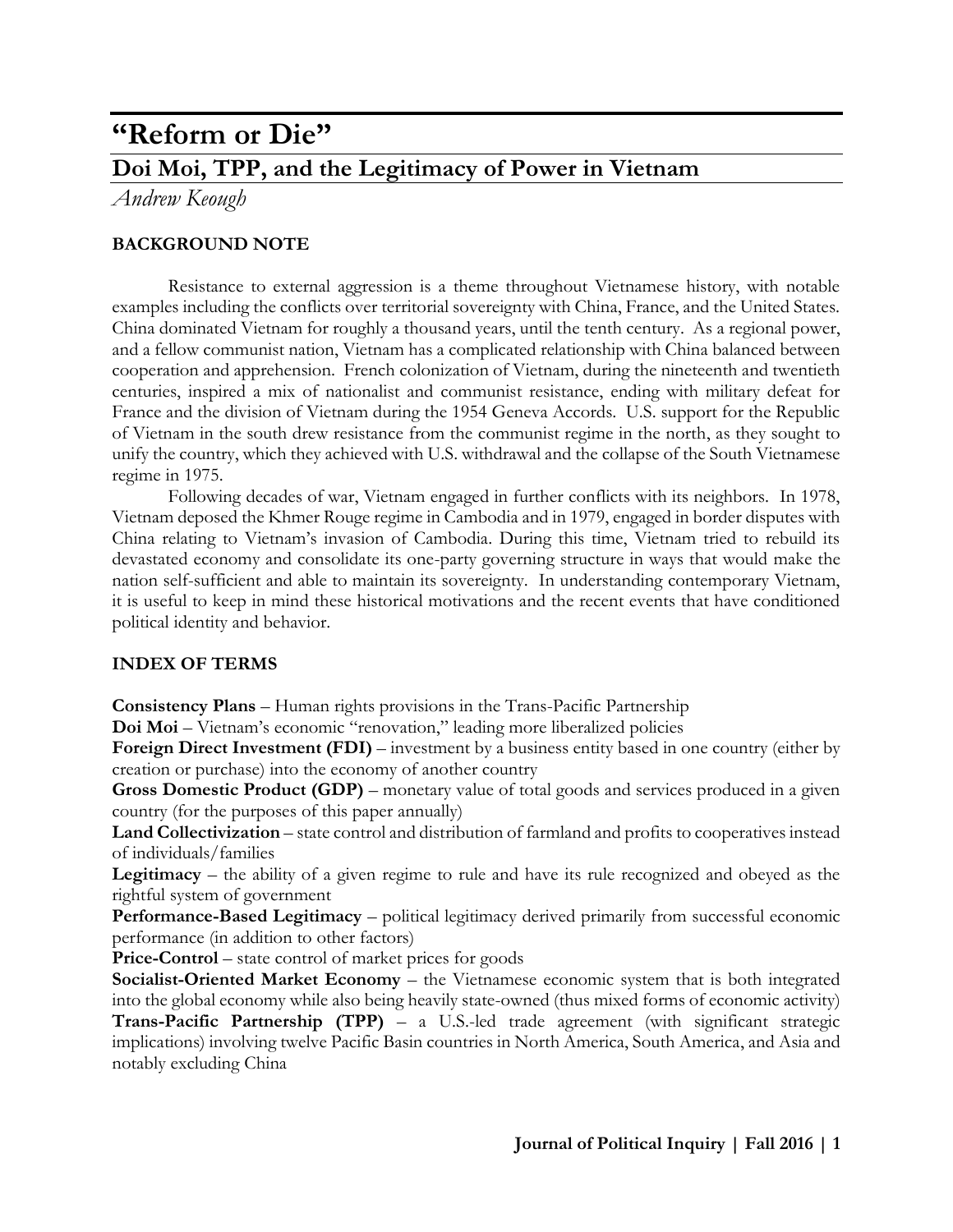# **"Reform or Die" Doi Moi, TPP, and the Legitimacy of Power in Vietnam**

*Andrew Keough*

# **BACKGROUND NOTE**

Resistance to external aggression is a theme throughout Vietnamese history, with notable examples including the conflicts over territorial sovereignty with China, France, and the United States. China dominated Vietnam for roughly a thousand years, until the tenth century. As a regional power, and a fellow communist nation, Vietnam has a complicated relationship with China balanced between cooperation and apprehension. French colonization of Vietnam, during the nineteenth and twentieth centuries, inspired a mix of nationalist and communist resistance, ending with military defeat for France and the division of Vietnam during the 1954 Geneva Accords. U.S. support for the Republic of Vietnam in the south drew resistance from the communist regime in the north, as they sought to unify the country, which they achieved with U.S. withdrawal and the collapse of the South Vietnamese regime in 1975.

Following decades of war, Vietnam engaged in further conflicts with its neighbors. In 1978, Vietnam deposed the Khmer Rouge regime in Cambodia and in 1979, engaged in border disputes with China relating to Vietnam's invasion of Cambodia. During this time, Vietnam tried to rebuild its devastated economy and consolidate its one-party governing structure in ways that would make the nation self-sufficient and able to maintain its sovereignty. In understanding contemporary Vietnam, it is useful to keep in mind these historical motivations and the recent events that have conditioned political identity and behavior.

# **INDEX OF TERMS**

**Consistency Plans** – Human rights provisions in the Trans-Pacific Partnership

**Doi Moi** – Vietnam's economic "renovation," leading more liberalized policies

**Foreign Direct Investment (FDI)** – investment by a business entity based in one country (either by creation or purchase) into the economy of another country

**Gross Domestic Product (GDP)** – monetary value of total goods and services produced in a given country (for the purposes of this paper annually)

**Land Collectivization** – state control and distribution of farmland and profits to cooperatives instead of individuals/families

**Legitimacy** – the ability of a given regime to rule and have its rule recognized and obeyed as the rightful system of government

**Performance-Based Legitimacy – political legitimacy derived primarily from successful economic** performance (in addition to other factors)

**Price-Control** – state control of market prices for goods

**Socialist-Oriented Market Economy** – the Vietnamese economic system that is both integrated into the global economy while also being heavily state-owned (thus mixed forms of economic activity) **Trans-Pacific Partnership (TPP)** – a U.S.-led trade agreement (with significant strategic implications) involving twelve Pacific Basin countries in North America, South America, and Asia and notably excluding China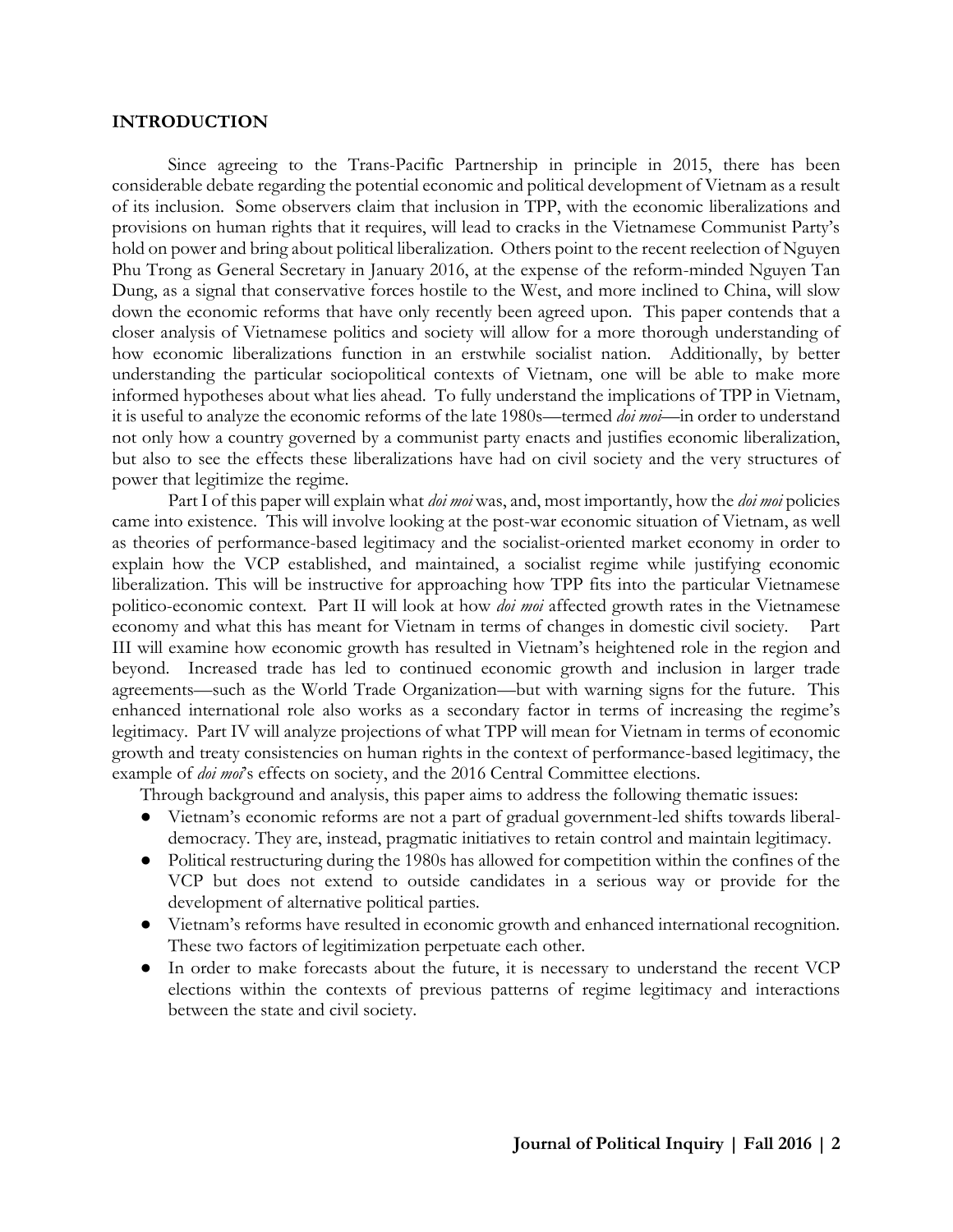#### **INTRODUCTION**

Since agreeing to the Trans-Pacific Partnership in principle in 2015, there has been considerable debate regarding the potential economic and political development of Vietnam as a result of its inclusion. Some observers claim that inclusion in TPP, with the economic liberalizations and provisions on human rights that it requires, will lead to cracks in the Vietnamese Communist Party's hold on power and bring about political liberalization. Others point to the recent reelection of Nguyen Phu Trong as General Secretary in January 2016, at the expense of the reform-minded Nguyen Tan Dung, as a signal that conservative forces hostile to the West, and more inclined to China, will slow down the economic reforms that have only recently been agreed upon. This paper contends that a closer analysis of Vietnamese politics and society will allow for a more thorough understanding of how economic liberalizations function in an erstwhile socialist nation. Additionally, by better understanding the particular sociopolitical contexts of Vietnam, one will be able to make more informed hypotheses about what lies ahead. To fully understand the implications of TPP in Vietnam, it is useful to analyze the economic reforms of the late 1980s—termed *doi moi—*in order to understand not only how a country governed by a communist party enacts and justifies economic liberalization, but also to see the effects these liberalizations have had on civil society and the very structures of power that legitimize the regime.

Part I of this paper will explain what *doi moi* was, and, most importantly, how the *doi moi* policies came into existence. This will involve looking at the post-war economic situation of Vietnam, as well as theories of performance-based legitimacy and the socialist-oriented market economy in order to explain how the VCP established, and maintained, a socialist regime while justifying economic liberalization. This will be instructive for approaching how TPP fits into the particular Vietnamese politico-economic context. Part II will look at how *doi moi* affected growth rates in the Vietnamese economy and what this has meant for Vietnam in terms of changes in domestic civil society. Part III will examine how economic growth has resulted in Vietnam's heightened role in the region and beyond. Increased trade has led to continued economic growth and inclusion in larger trade agreements*—*such as the World Trade Organization*—*but with warning signs for the future. This enhanced international role also works as a secondary factor in terms of increasing the regime's legitimacy. Part IV will analyze projections of what TPP will mean for Vietnam in terms of economic growth and treaty consistencies on human rights in the context of performance-based legitimacy, the example of *doi moi*'s effects on society, and the 2016 Central Committee elections.

Through background and analysis, this paper aims to address the following thematic issues:

- Vietnam's economic reforms are not a part of gradual government-led shifts towards liberaldemocracy. They are, instead, pragmatic initiatives to retain control and maintain legitimacy.
- Political restructuring during the 1980s has allowed for competition within the confines of the VCP but does not extend to outside candidates in a serious way or provide for the development of alternative political parties.
- Vietnam's reforms have resulted in economic growth and enhanced international recognition. These two factors of legitimization perpetuate each other.
- In order to make forecasts about the future, it is necessary to understand the recent VCP elections within the contexts of previous patterns of regime legitimacy and interactions between the state and civil society.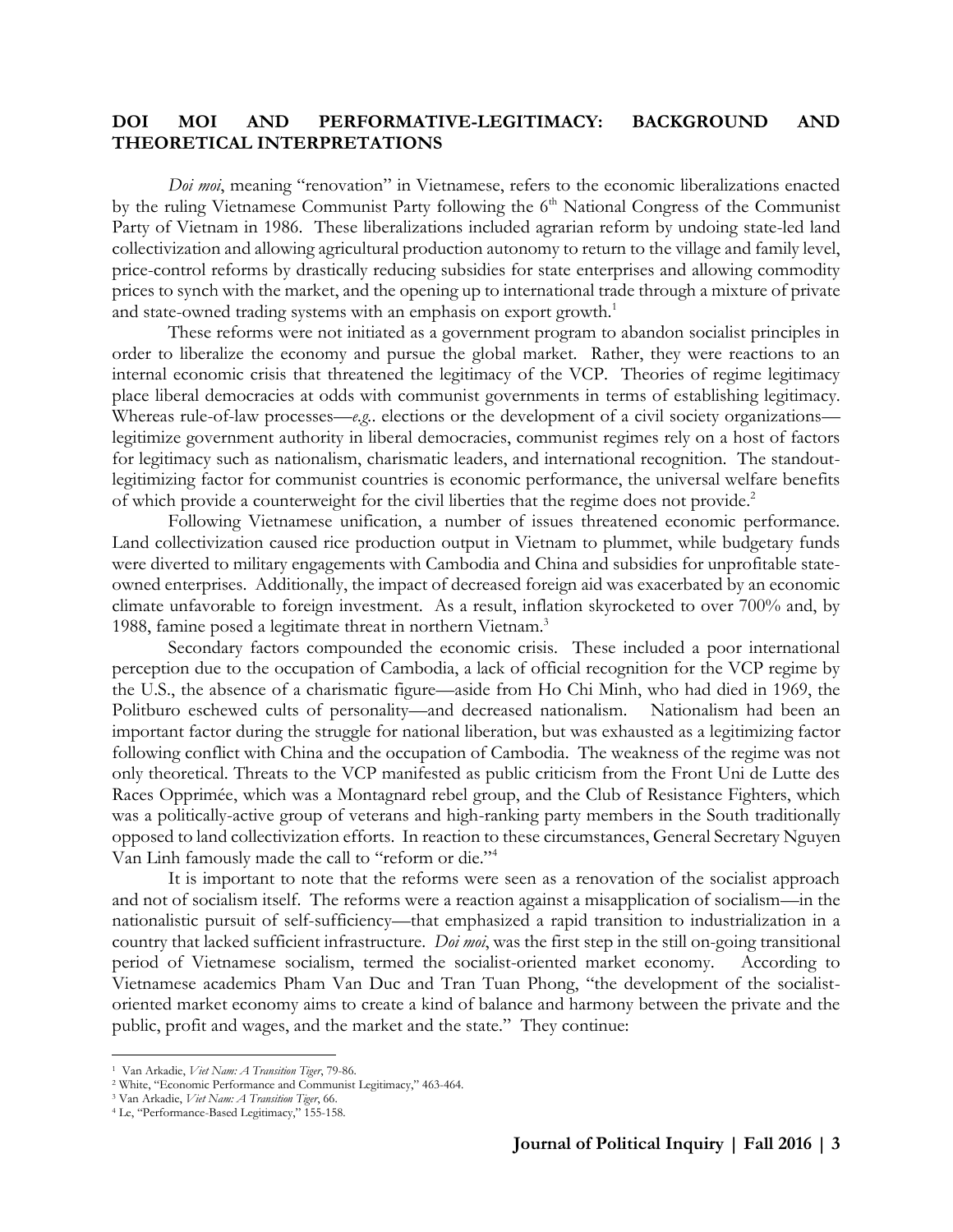## **DOI MOI AND PERFORMATIVE-LEGITIMACY: BACKGROUND AND THEORETICAL INTERPRETATIONS**

*Doi moi*, meaning "renovation" in Vietnamese, refers to the economic liberalizations enacted by the ruling Vietnamese Communist Party following the 6<sup>th</sup> National Congress of the Communist Party of Vietnam in 1986. These liberalizations included agrarian reform by undoing state-led land collectivization and allowing agricultural production autonomy to return to the village and family level, price-control reforms by drastically reducing subsidies for state enterprises and allowing commodity prices to synch with the market, and the opening up to international trade through a mixture of private and state-owned trading systems with an emphasis on export growth.<sup>1</sup>

These reforms were not initiated as a government program to abandon socialist principles in order to liberalize the economy and pursue the global market. Rather, they were reactions to an internal economic crisis that threatened the legitimacy of the VCP. Theories of regime legitimacy place liberal democracies at odds with communist governments in terms of establishing legitimacy. Whereas rule-of-law processes*—e.g.*. elections or the development of a civil society organizations legitimize government authority in liberal democracies, communist regimes rely on a host of factors for legitimacy such as nationalism, charismatic leaders, and international recognition. The standoutlegitimizing factor for communist countries is economic performance, the universal welfare benefits of which provide a counterweight for the civil liberties that the regime does not provide.<sup>2</sup>

Following Vietnamese unification, a number of issues threatened economic performance. Land collectivization caused rice production output in Vietnam to plummet, while budgetary funds were diverted to military engagements with Cambodia and China and subsidies for unprofitable stateowned enterprises. Additionally, the impact of decreased foreign aid was exacerbated by an economic climate unfavorable to foreign investment. As a result, inflation skyrocketed to over 700% and, by 1988, famine posed a legitimate threat in northern Vietnam.<sup>3</sup>

Secondary factors compounded the economic crisis. These included a poor international perception due to the occupation of Cambodia, a lack of official recognition for the VCP regime by the U.S., the absence of a charismatic figure—aside from Ho Chi Minh, who had died in 1969, the Politburo eschewed cults of personality—and decreased nationalism. Nationalism had been an important factor during the struggle for national liberation, but was exhausted as a legitimizing factor following conflict with China and the occupation of Cambodia. The weakness of the regime was not only theoretical. Threats to the VCP manifested as public criticism from the Front Uni de Lutte des Races Opprimée, which was a Montagnard rebel group, and the Club of Resistance Fighters, which was a politically-active group of veterans and high-ranking party members in the South traditionally opposed to land collectivization efforts. In reaction to these circumstances, General Secretary Nguyen Van Linh famously made the call to "reform or die."<sup>4</sup>

It is important to note that the reforms were seen as a renovation of the socialist approach and not of socialism itself. The reforms were a reaction against a misapplication of socialism—in the nationalistic pursuit of self-sufficiency—that emphasized a rapid transition to industrialization in a country that lacked sufficient infrastructure. *Doi moi*, was the first step in the still on-going transitional period of Vietnamese socialism, termed the socialist-oriented market economy. According to Vietnamese academics Pham Van Duc and Tran Tuan Phong, "the development of the socialistoriented market economy aims to create a kind of balance and harmony between the private and the public, profit and wages, and the market and the state." They continue:

<sup>1</sup> Van Arkadie, *Viet Nam: A Transition Tiger*, 79-86.

<sup>2</sup> White, "Economic Performance and Communist Legitimacy," 463-464.

<sup>3</sup> Van Arkadie, *Viet Nam: A Transition Tiger*, 66.

<sup>4</sup> Le, "Performance-Based Legitimacy," 155-158.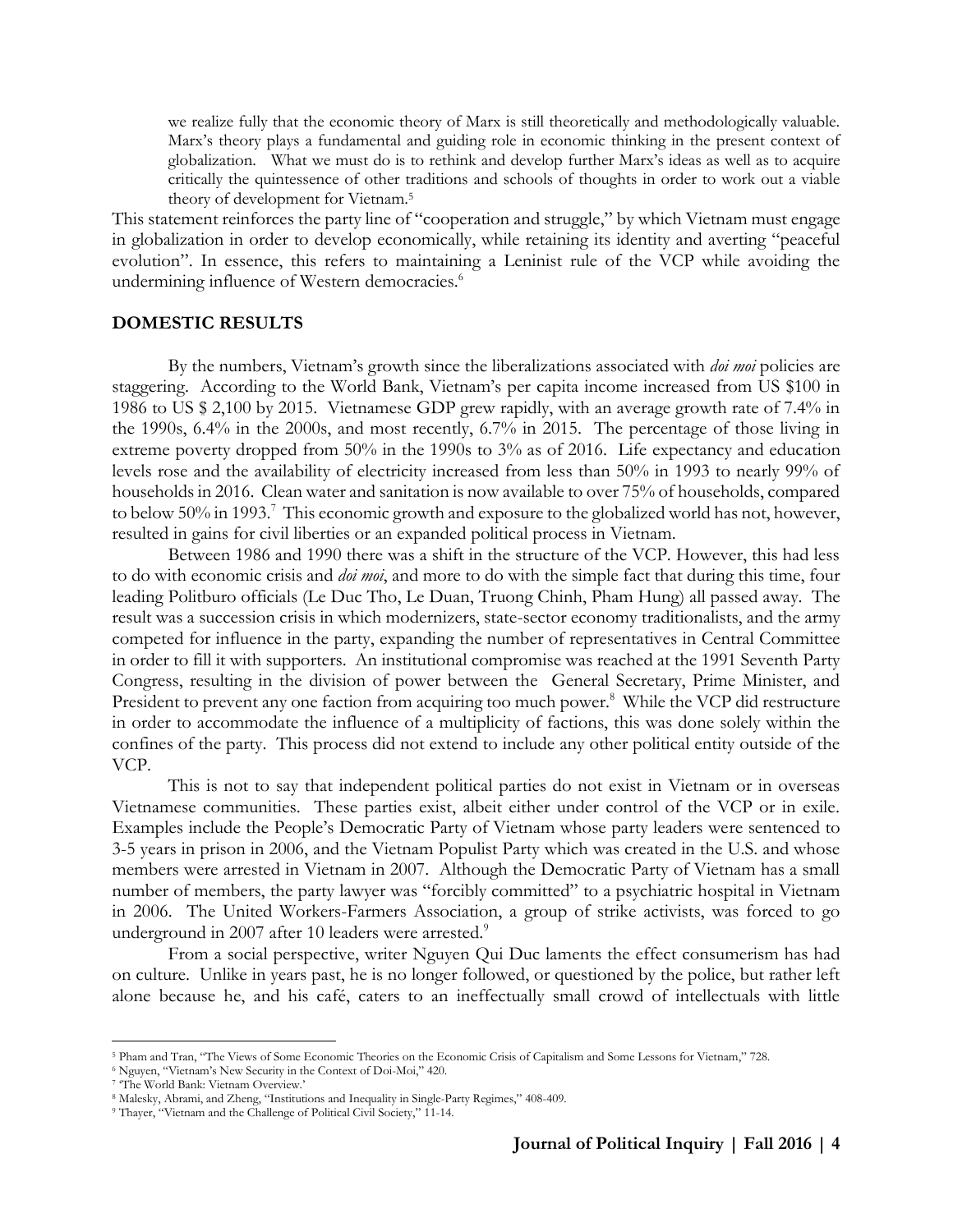we realize fully that the economic theory of Marx is still theoretically and methodologically valuable. Marx's theory plays a fundamental and guiding role in economic thinking in the present context of globalization. What we must do is to rethink and develop further Marx's ideas as well as to acquire critically the quintessence of other traditions and schools of thoughts in order to work out a viable theory of development for Vietnam.<sup>5</sup>

This statement reinforces the party line of "cooperation and struggle," by which Vietnam must engage in globalization in order to develop economically, while retaining its identity and averting "peaceful evolution". In essence, this refers to maintaining a Leninist rule of the VCP while avoiding the undermining influence of Western democracies.<sup>6</sup>

#### **DOMESTIC RESULTS**

By the numbers, Vietnam's growth since the liberalizations associated with *doi moi* policies are staggering. According to the World Bank, Vietnam's per capita income increased from US \$100 in 1986 to US \$ 2,100 by 2015. Vietnamese GDP grew rapidly, with an average growth rate of 7.4% in the 1990s, 6.4% in the 2000s, and most recently, 6.7% in 2015. The percentage of those living in extreme poverty dropped from 50% in the 1990s to 3% as of 2016. Life expectancy and education levels rose and the availability of electricity increased from less than 50% in 1993 to nearly 99% of households in 2016. Clean water and sanitation is now available to over 75% of households, compared to below 50% in 1993.<sup>7</sup> This economic growth and exposure to the globalized world has not, however, resulted in gains for civil liberties or an expanded political process in Vietnam.

Between 1986 and 1990 there was a shift in the structure of the VCP. However, this had less to do with economic crisis and *doi moi*, and more to do with the simple fact that during this time, four leading Politburo officials (Le Duc Tho, Le Duan, Truong Chinh, Pham Hung) all passed away. The result was a succession crisis in which modernizers, state-sector economy traditionalists, and the army competed for influence in the party, expanding the number of representatives in Central Committee in order to fill it with supporters. An institutional compromise was reached at the 1991 Seventh Party Congress, resulting in the division of power between the General Secretary, Prime Minister, and President to prevent any one faction from acquiring too much power.<sup>8</sup> While the VCP did restructure in order to accommodate the influence of a multiplicity of factions, this was done solely within the confines of the party. This process did not extend to include any other political entity outside of the VCP.

This is not to say that independent political parties do not exist in Vietnam or in overseas Vietnamese communities. These parties exist, albeit either under control of the VCP or in exile. Examples include the People's Democratic Party of Vietnam whose party leaders were sentenced to 3-5 years in prison in 2006, and the Vietnam Populist Party which was created in the U.S. and whose members were arrested in Vietnam in 2007. Although the Democratic Party of Vietnam has a small number of members, the party lawyer was "forcibly committed" to a psychiatric hospital in Vietnam in 2006. The United Workers-Farmers Association, a group of strike activists, was forced to go underground in 2007 after 10 leaders were arrested.<sup>9</sup>

From a social perspective, writer Nguyen Qui Duc laments the effect consumerism has had on culture. Unlike in years past, he is no longer followed, or questioned by the police, but rather left alone because he, and his café, caters to an ineffectually small crowd of intellectuals with little

<sup>5</sup> Pham and Tran, "The Views of Some Economic Theories on the Economic Crisis of Capitalism and Some Lessons for Vietnam," 728.

<sup>6</sup> Nguyen, "Vietnam's New Security in the Context of Doi-Moi," 420.

<sup>7</sup> 'The World Bank: Vietnam Overview.'

<sup>8</sup> Malesky, Abrami, and Zheng, "Institutions and Inequality in Single-Party Regimes," 408-409.

<sup>9</sup> Thayer, "Vietnam and the Challenge of Political Civil Society," 11-14.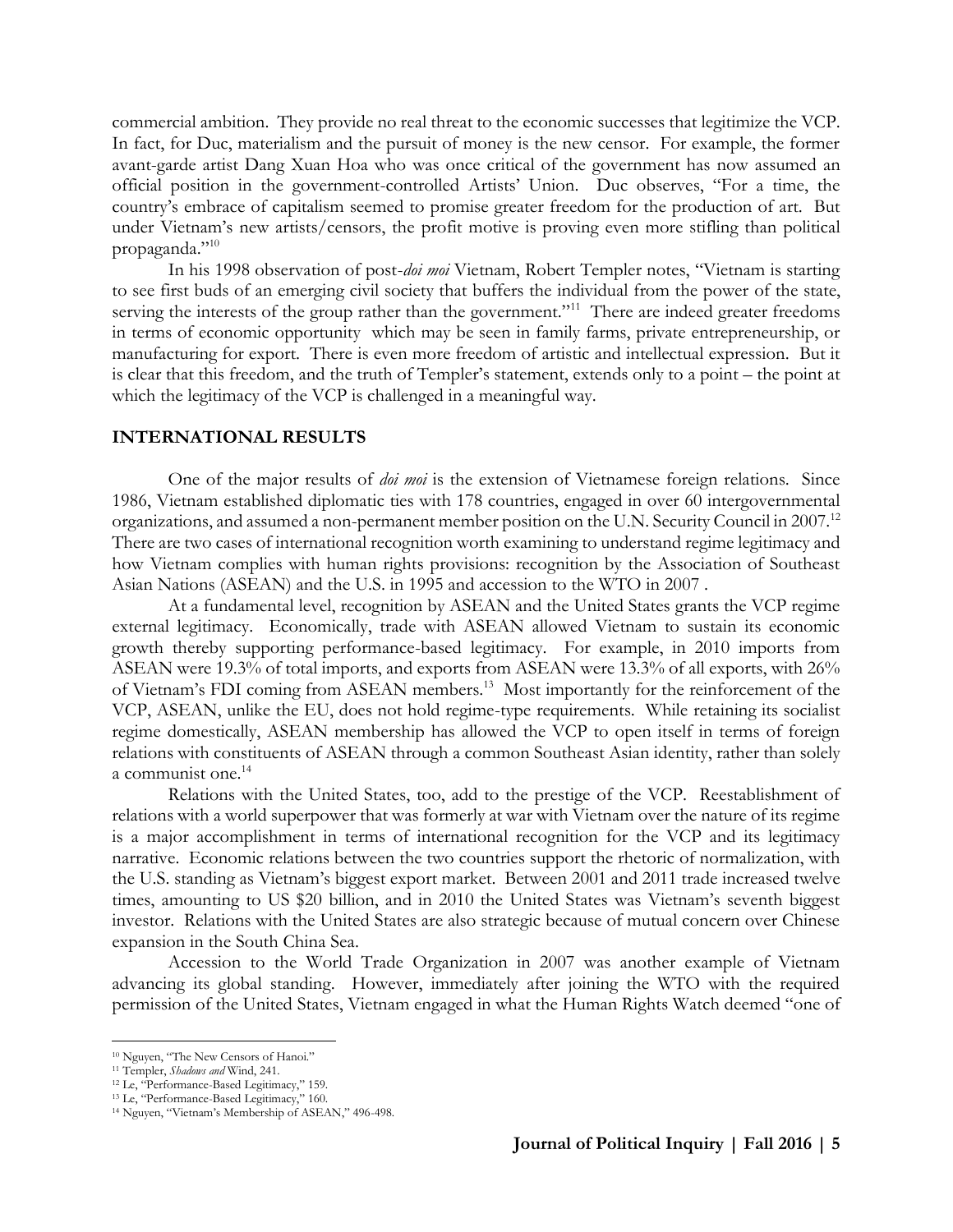commercial ambition. They provide no real threat to the economic successes that legitimize the VCP. In fact, for Duc, materialism and the pursuit of money is the new censor. For example, the former avant-garde artist Dang Xuan Hoa who was once critical of the government has now assumed an official position in the government-controlled Artists' Union. Duc observes, "For a time, the country's embrace of capitalism seemed to promise greater freedom for the production of art. But under Vietnam's new artists/censors, the profit motive is proving even more stifling than political propaganda."10

In his 1998 observation of post-*doi moi* Vietnam, Robert Templer notes, "Vietnam is starting to see first buds of an emerging civil society that buffers the individual from the power of the state, serving the interests of the group rather than the government."<sup>11</sup> There are indeed greater freedoms in terms of economic opportunity which may be seen in family farms, private entrepreneurship, or manufacturing for export. There is even more freedom of artistic and intellectual expression. But it is clear that this freedom, and the truth of Templer's statement, extends only to a point – the point at which the legitimacy of the VCP is challenged in a meaningful way.

## **INTERNATIONAL RESULTS**

One of the major results of *doi moi* is the extension of Vietnamese foreign relations. Since 1986, Vietnam established diplomatic ties with 178 countries, engaged in over 60 intergovernmental organizations, and assumed a non-permanent member position on the U.N. Security Council in 2007.<sup>12</sup> There are two cases of international recognition worth examining to understand regime legitimacy and how Vietnam complies with human rights provisions: recognition by the Association of Southeast Asian Nations (ASEAN) and the U.S. in 1995 and accession to the WTO in 2007 .

At a fundamental level, recognition by ASEAN and the United States grants the VCP regime external legitimacy. Economically, trade with ASEAN allowed Vietnam to sustain its economic growth thereby supporting performance-based legitimacy. For example, in 2010 imports from ASEAN were 19.3% of total imports, and exports from ASEAN were 13.3% of all exports, with 26% of Vietnam's FDI coming from ASEAN members.<sup>13</sup> Most importantly for the reinforcement of the VCP, ASEAN, unlike the EU, does not hold regime-type requirements. While retaining its socialist regime domestically, ASEAN membership has allowed the VCP to open itself in terms of foreign relations with constituents of ASEAN through a common Southeast Asian identity, rather than solely a communist one.<sup>14</sup>

Relations with the United States, too, add to the prestige of the VCP. Reestablishment of relations with a world superpower that was formerly at war with Vietnam over the nature of its regime is a major accomplishment in terms of international recognition for the VCP and its legitimacy narrative. Economic relations between the two countries support the rhetoric of normalization, with the U.S. standing as Vietnam's biggest export market. Between 2001 and 2011 trade increased twelve times, amounting to US \$20 billion, and in 2010 the United States was Vietnam's seventh biggest investor. Relations with the United States are also strategic because of mutual concern over Chinese expansion in the South China Sea.

Accession to the World Trade Organization in 2007 was another example of Vietnam advancing its global standing. However, immediately after joining the WTO with the required permission of the United States, Vietnam engaged in what the Human Rights Watch deemed "one of

<sup>10</sup> Nguyen, "The New Censors of Hanoi."

<sup>11</sup> Templer, *Shadows and* Wind, 241.

<sup>12</sup> Le, "Performance-Based Legitimacy," 159.

<sup>13</sup> Le, "Performance-Based Legitimacy," 160.

<sup>14</sup> Nguyen, "Vietnam's Membership of ASEAN," 496-498.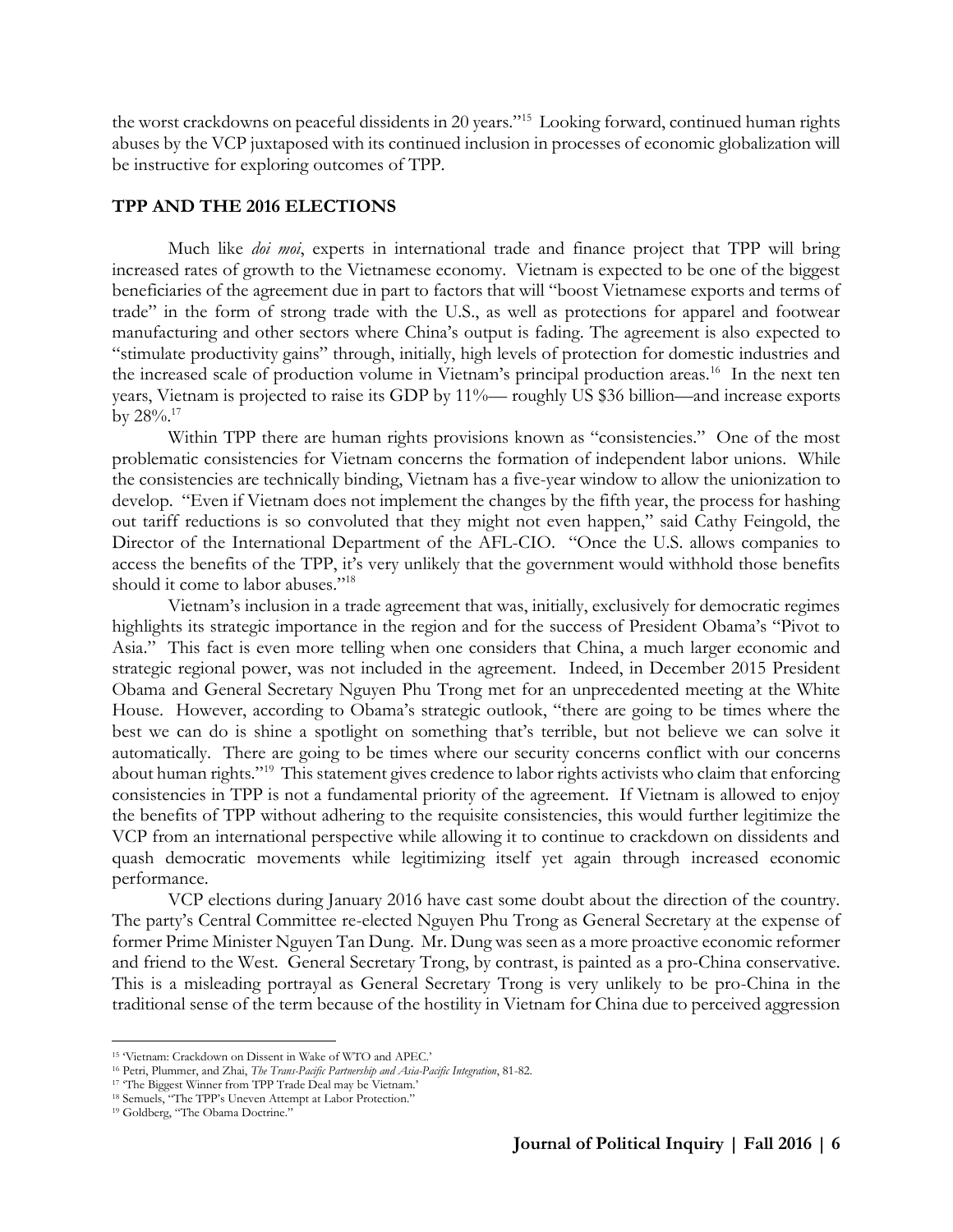the worst crackdowns on peaceful dissidents in 20 years."<sup>15</sup> Looking forward, continued human rights abuses by the VCP juxtaposed with its continued inclusion in processes of economic globalization will be instructive for exploring outcomes of TPP.

## **TPP AND THE 2016 ELECTIONS**

Much like *doi moi*, experts in international trade and finance project that TPP will bring increased rates of growth to the Vietnamese economy. Vietnam is expected to be one of the biggest beneficiaries of the agreement due in part to factors that will "boost Vietnamese exports and terms of trade" in the form of strong trade with the U.S., as well as protections for apparel and footwear manufacturing and other sectors where China's output is fading. The agreement is also expected to "stimulate productivity gains" through, initially, high levels of protection for domestic industries and the increased scale of production volume in Vietnam's principal production areas.<sup>16</sup> In the next ten years, Vietnam is projected to raise its GDP by 11%— roughly US \$36 billion—and increase exports by  $28\%$ .<sup>17</sup>

Within TPP there are human rights provisions known as "consistencies." One of the most problematic consistencies for Vietnam concerns the formation of independent labor unions. While the consistencies are technically binding, Vietnam has a five-year window to allow the unionization to develop. "Even if Vietnam does not implement the changes by the fifth year, the process for hashing out tariff reductions is so convoluted that they might not even happen," said Cathy Feingold, the Director of the International Department of the AFL-CIO. "Once the U.S. allows companies to access the benefits of the TPP, it's very unlikely that the government would withhold those benefits should it come to labor abuses."<sup>18</sup>

Vietnam's inclusion in a trade agreement that was, initially, exclusively for democratic regimes highlights its strategic importance in the region and for the success of President Obama's "Pivot to Asia." This fact is even more telling when one considers that China, a much larger economic and strategic regional power, was not included in the agreement. Indeed, in December 2015 President Obama and General Secretary Nguyen Phu Trong met for an unprecedented meeting at the White House. However, according to Obama's strategic outlook, "there are going to be times where the best we can do is shine a spotlight on something that's terrible, but not believe we can solve it automatically. There are going to be times where our security concerns conflict with our concerns about human rights."<sup>19</sup> This statement gives credence to labor rights activists who claim that enforcing consistencies in TPP is not a fundamental priority of the agreement. If Vietnam is allowed to enjoy the benefits of TPP without adhering to the requisite consistencies, this would further legitimize the VCP from an international perspective while allowing it to continue to crackdown on dissidents and quash democratic movements while legitimizing itself yet again through increased economic performance.

VCP elections during January 2016 have cast some doubt about the direction of the country. The party's Central Committee re-elected Nguyen Phu Trong as General Secretary at the expense of former Prime Minister Nguyen Tan Dung. Mr. Dung was seen as a more proactive economic reformer and friend to the West. General Secretary Trong, by contrast, is painted as a pro-China conservative. This is a misleading portrayal as General Secretary Trong is very unlikely to be pro-China in the traditional sense of the term because of the hostility in Vietnam for China due to perceived aggression

<sup>15</sup> 'Vietnam: Crackdown on Dissent in Wake of WTO and APEC.'

<sup>16</sup> Petri, Plummer, and Zhai, *The Trans-Pacific Partnership and Asia-Pacific Integration*, 81-82.

<sup>&</sup>lt;sup>17</sup> The Biggest Winner from TPP Trade Deal may be Vietnam.'

<sup>18</sup> Semuels, "The TPP's Uneven Attempt at Labor Protection."

<sup>19</sup> Goldberg, "The Obama Doctrine."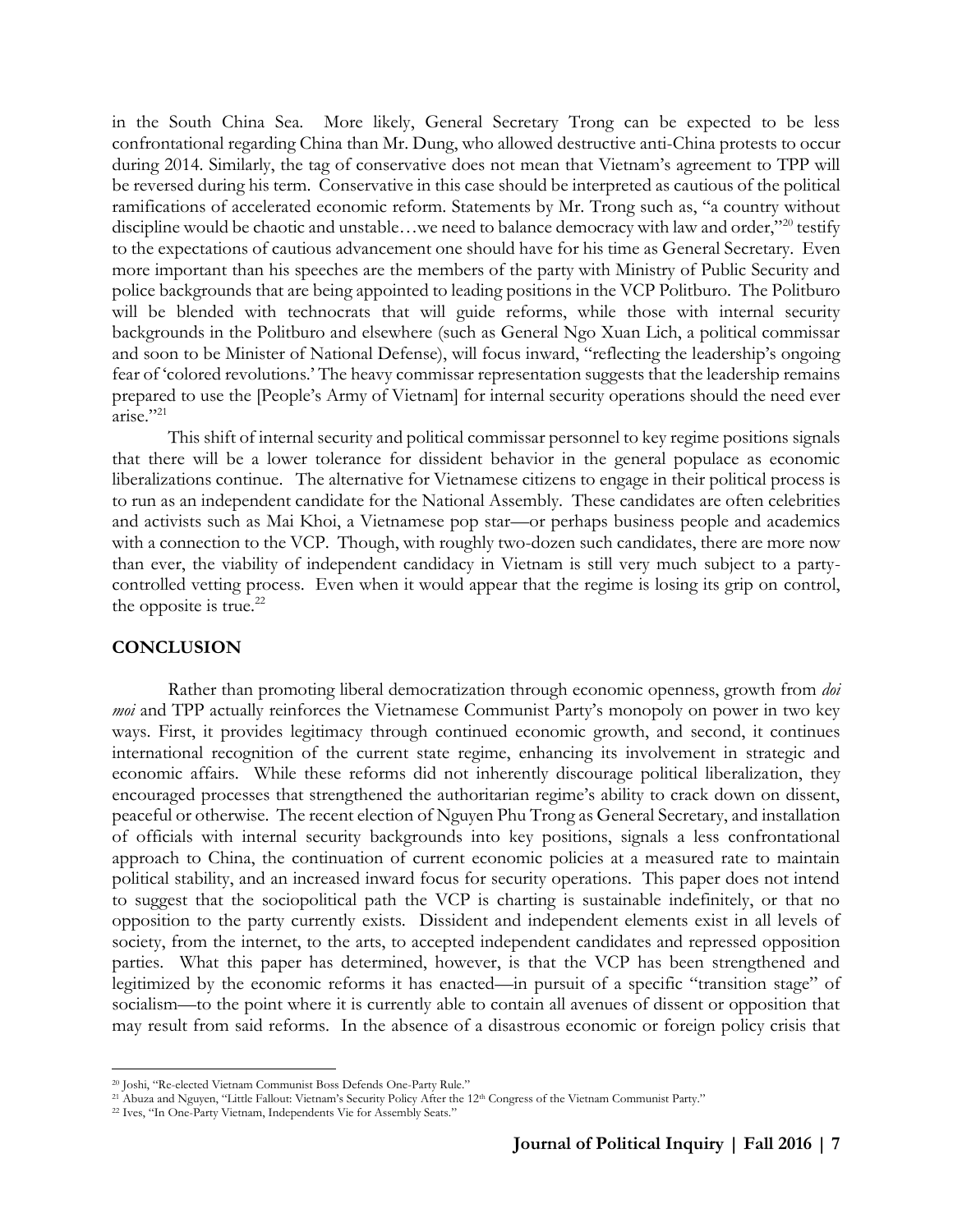in the South China Sea. More likely, General Secretary Trong can be expected to be less confrontational regarding China than Mr. Dung, who allowed destructive anti-China protests to occur during 2014. Similarly, the tag of conservative does not mean that Vietnam's agreement to TPP will be reversed during his term. Conservative in this case should be interpreted as cautious of the political ramifications of accelerated economic reform. Statements by Mr. Trong such as, "a country without discipline would be chaotic and unstable...we need to balance democracy with law and order,"<sup>20</sup> testify to the expectations of cautious advancement one should have for his time as General Secretary. Even more important than his speeches are the members of the party with Ministry of Public Security and police backgrounds that are being appointed to leading positions in the VCP Politburo. The Politburo will be blended with technocrats that will guide reforms, while those with internal security backgrounds in the Politburo and elsewhere (such as General Ngo Xuan Lich, a political commissar and soon to be Minister of National Defense), will focus inward, "reflecting the leadership's ongoing fear of 'colored revolutions.' The heavy commissar representation suggests that the leadership remains prepared to use the [People's Army of Vietnam] for internal security operations should the need ever arise."<sup>21</sup>

This shift of internal security and political commissar personnel to key regime positions signals that there will be a lower tolerance for dissident behavior in the general populace as economic liberalizations continue. The alternative for Vietnamese citizens to engage in their political process is to run as an independent candidate for the National Assembly. These candidates are often celebrities and activists such as Mai Khoi, a Vietnamese pop star—or perhaps business people and academics with a connection to the VCP. Though, with roughly two-dozen such candidates, there are more now than ever, the viability of independent candidacy in Vietnam is still very much subject to a partycontrolled vetting process. Even when it would appear that the regime is losing its grip on control, the opposite is true. $^{22}$ 

#### **CONCLUSION**

 $\overline{a}$ 

Rather than promoting liberal democratization through economic openness, growth from *doi moi* and TPP actually reinforces the Vietnamese Communist Party's monopoly on power in two key ways. First, it provides legitimacy through continued economic growth, and second, it continues international recognition of the current state regime, enhancing its involvement in strategic and economic affairs. While these reforms did not inherently discourage political liberalization, they encouraged processes that strengthened the authoritarian regime's ability to crack down on dissent, peaceful or otherwise. The recent election of Nguyen Phu Trong as General Secretary, and installation of officials with internal security backgrounds into key positions, signals a less confrontational approach to China, the continuation of current economic policies at a measured rate to maintain political stability, and an increased inward focus for security operations. This paper does not intend to suggest that the sociopolitical path the VCP is charting is sustainable indefinitely, or that no opposition to the party currently exists. Dissident and independent elements exist in all levels of society, from the internet, to the arts, to accepted independent candidates and repressed opposition parties. What this paper has determined, however, is that the VCP has been strengthened and legitimized by the economic reforms it has enacted—in pursuit of a specific "transition stage" of socialism—to the point where it is currently able to contain all avenues of dissent or opposition that may result from said reforms. In the absence of a disastrous economic or foreign policy crisis that

<sup>20</sup> Joshi, "Re-elected Vietnam Communist Boss Defends One-Party Rule."

<sup>&</sup>lt;sup>21</sup> Abuza and Nguyen, "Little Fallout: Vietnam's Security Policy After the 12<sup>th</sup> Congress of the Vietnam Communist Party."

<sup>22</sup> Ives, "In One-Party Vietnam, Independents Vie for Assembly Seats."